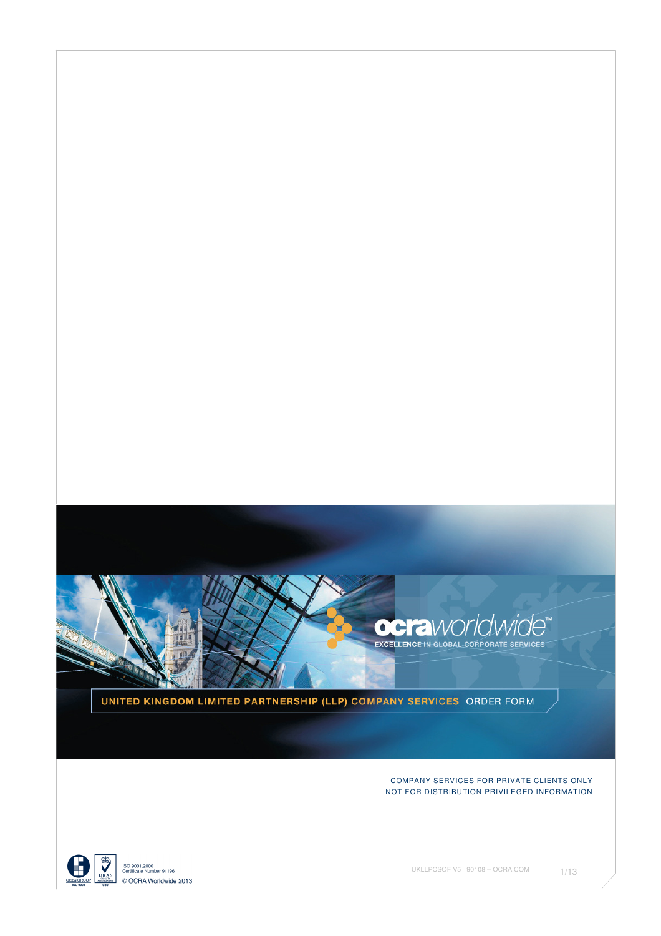

UNITED KINGDOM LIMITED PARTNERSHIP (LLP) COMPANY SERVICES ORDER FORM

COMPANY SERVICES FOR PRIVATE CLIENTS ONLY NOT FOR DISTRIBUTION PRIVILEGED INFORMATION



ISO 9001:2000<br>Certificate Number 91196 © OCRA Worldwide 2013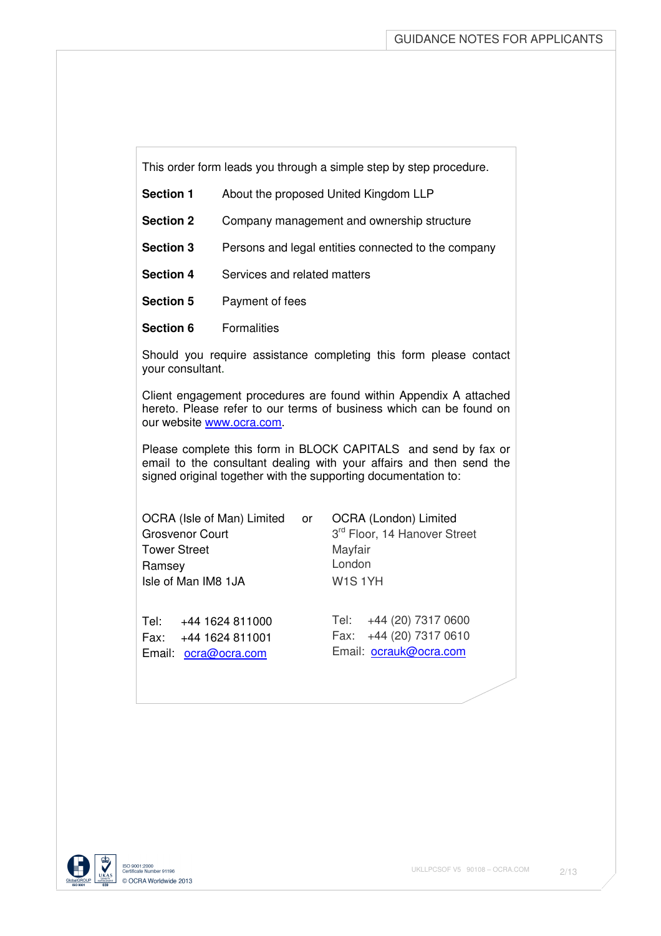This order form leads you through a simple step by step procedure.

| <b>Section 1</b> | About the proposed United Kingdom LLP               |
|------------------|-----------------------------------------------------|
| <b>Section 2</b> | Company management and ownership structure          |
| <b>Section 3</b> | Persons and legal entities connected to the company |
| <b>Section 4</b> | Services and related matters                        |
| <b>Section 5</b> | Payment of fees                                     |
| Section 6        | <b>Formalities</b>                                  |

Should you require assistance completing this form please contact your consultant.

Client engagement procedures are found within Appendix A attached hereto. Please refer to our terms of business which can be found on our website www.ocra.com.

Please complete this form in BLOCK CAPITALS and send by fax or email to the consultant dealing with your affairs and then send the signed original together with the supporting documentation to:

| OCRA (Isle of Man) Limited or | OCRA (London) Limited                    |
|-------------------------------|------------------------------------------|
| <b>Grosvenor Court</b>        | 3 <sup>rd</sup> Floor, 14 Hanover Street |
| <b>Tower Street</b>           | Mayfair                                  |
| Ramsey                        | London                                   |
| Isle of Man IM8 1JA           | <b>W1S1YH</b>                            |
|                               |                                          |
|                               |                                          |

Email: ocra@ocra.com Email: ocrauk@ocra.com

Tel: +44 1624 811000 Tel: +44 (20) 7317 0600 Fax: +44 1624 811001 Fax: +44 (20) 7317 0610

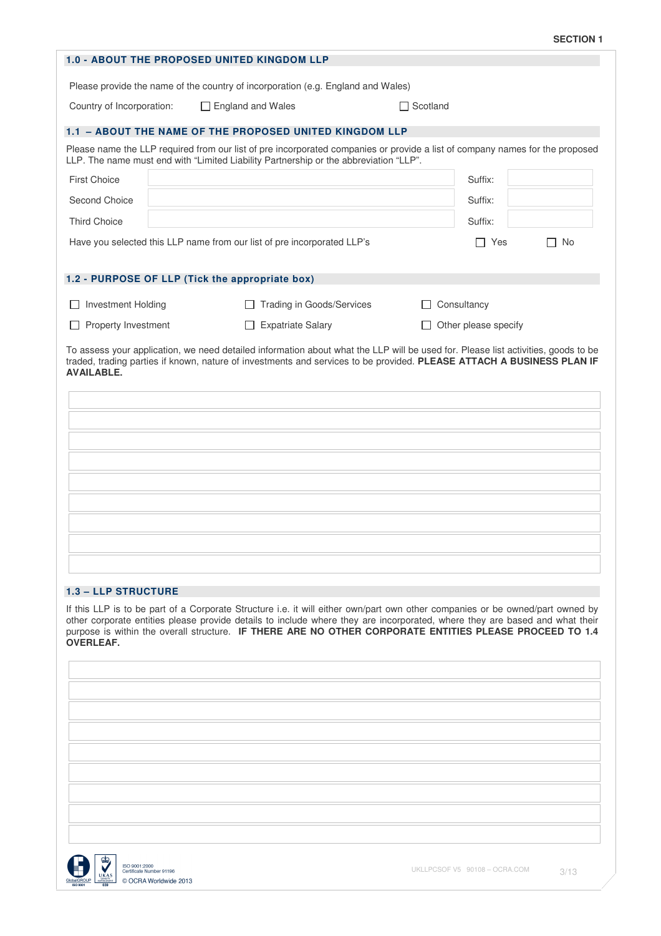| Country of Incorporation:<br><b>First Choice</b><br>Second Choice<br><b>Third Choice</b><br><b>Investment Holding</b><br><b>Property Investment</b><br><b>AVAILABLE.</b> | <b>1.0 - ABOUT THE PROPOSED UNITED KINGDOM LLP</b><br>Please provide the name of the country of incorporation (e.g. England and Wales)<br>$\Box$ England and Wales<br>1.1 - ABOUT THE NAME OF THE PROPOSED UNITED KINGDOM LLP<br>Please name the LLP required from our list of pre incorporated companies or provide a list of company names for the proposed<br>LLP. The name must end with "Limited Liability Partnership or the abbreviation "LLP".<br>Have you selected this LLP name from our list of pre incorporated LLP's<br>1.2 - PURPOSE OF LLP (Tick the appropriate box)<br><b>Trading in Goods/Services</b><br><b>Expatriate Salary</b><br>To assess your application, we need detailed information about what the LLP will be used for. Please list activities, goods to be<br>traded, trading parties if known, nature of investments and services to be provided. PLEASE ATTACH A BUSINESS PLAN IF | $\Box$ Scotland<br>Consultancy<br>Other please specify | Suffix:<br>Suffix:<br>Suffix:<br>$\Box$ Yes<br>No |
|--------------------------------------------------------------------------------------------------------------------------------------------------------------------------|--------------------------------------------------------------------------------------------------------------------------------------------------------------------------------------------------------------------------------------------------------------------------------------------------------------------------------------------------------------------------------------------------------------------------------------------------------------------------------------------------------------------------------------------------------------------------------------------------------------------------------------------------------------------------------------------------------------------------------------------------------------------------------------------------------------------------------------------------------------------------------------------------------------------|--------------------------------------------------------|---------------------------------------------------|
|                                                                                                                                                                          |                                                                                                                                                                                                                                                                                                                                                                                                                                                                                                                                                                                                                                                                                                                                                                                                                                                                                                                    |                                                        |                                                   |
|                                                                                                                                                                          |                                                                                                                                                                                                                                                                                                                                                                                                                                                                                                                                                                                                                                                                                                                                                                                                                                                                                                                    |                                                        |                                                   |
|                                                                                                                                                                          |                                                                                                                                                                                                                                                                                                                                                                                                                                                                                                                                                                                                                                                                                                                                                                                                                                                                                                                    |                                                        |                                                   |
|                                                                                                                                                                          |                                                                                                                                                                                                                                                                                                                                                                                                                                                                                                                                                                                                                                                                                                                                                                                                                                                                                                                    |                                                        |                                                   |
|                                                                                                                                                                          |                                                                                                                                                                                                                                                                                                                                                                                                                                                                                                                                                                                                                                                                                                                                                                                                                                                                                                                    |                                                        |                                                   |
|                                                                                                                                                                          |                                                                                                                                                                                                                                                                                                                                                                                                                                                                                                                                                                                                                                                                                                                                                                                                                                                                                                                    |                                                        |                                                   |
|                                                                                                                                                                          |                                                                                                                                                                                                                                                                                                                                                                                                                                                                                                                                                                                                                                                                                                                                                                                                                                                                                                                    |                                                        |                                                   |
|                                                                                                                                                                          |                                                                                                                                                                                                                                                                                                                                                                                                                                                                                                                                                                                                                                                                                                                                                                                                                                                                                                                    |                                                        |                                                   |
|                                                                                                                                                                          |                                                                                                                                                                                                                                                                                                                                                                                                                                                                                                                                                                                                                                                                                                                                                                                                                                                                                                                    |                                                        |                                                   |
|                                                                                                                                                                          |                                                                                                                                                                                                                                                                                                                                                                                                                                                                                                                                                                                                                                                                                                                                                                                                                                                                                                                    |                                                        |                                                   |
|                                                                                                                                                                          |                                                                                                                                                                                                                                                                                                                                                                                                                                                                                                                                                                                                                                                                                                                                                                                                                                                                                                                    |                                                        |                                                   |
|                                                                                                                                                                          |                                                                                                                                                                                                                                                                                                                                                                                                                                                                                                                                                                                                                                                                                                                                                                                                                                                                                                                    |                                                        |                                                   |
|                                                                                                                                                                          |                                                                                                                                                                                                                                                                                                                                                                                                                                                                                                                                                                                                                                                                                                                                                                                                                                                                                                                    |                                                        |                                                   |
|                                                                                                                                                                          |                                                                                                                                                                                                                                                                                                                                                                                                                                                                                                                                                                                                                                                                                                                                                                                                                                                                                                                    |                                                        |                                                   |
| <b>1.3 - LLP STRUCTURE</b>                                                                                                                                               |                                                                                                                                                                                                                                                                                                                                                                                                                                                                                                                                                                                                                                                                                                                                                                                                                                                                                                                    |                                                        |                                                   |
| <b>OVERLEAF.</b>                                                                                                                                                         | If this LLP is to be part of a Corporate Structure i.e. it will either own/part own other companies or be owned/part owned by<br>other corporate entities please provide details to include where they are incorporated, where they are based and what their<br>purpose is within the overall structure. IF THERE ARE NO OTHER CORPORATE ENTITIES PLEASE PROCEED TO 1.4                                                                                                                                                                                                                                                                                                                                                                                                                                                                                                                                            |                                                        |                                                   |
|                                                                                                                                                                          |                                                                                                                                                                                                                                                                                                                                                                                                                                                                                                                                                                                                                                                                                                                                                                                                                                                                                                                    |                                                        |                                                   |
|                                                                                                                                                                          |                                                                                                                                                                                                                                                                                                                                                                                                                                                                                                                                                                                                                                                                                                                                                                                                                                                                                                                    |                                                        |                                                   |
|                                                                                                                                                                          |                                                                                                                                                                                                                                                                                                                                                                                                                                                                                                                                                                                                                                                                                                                                                                                                                                                                                                                    |                                                        |                                                   |
|                                                                                                                                                                          |                                                                                                                                                                                                                                                                                                                                                                                                                                                                                                                                                                                                                                                                                                                                                                                                                                                                                                                    |                                                        |                                                   |

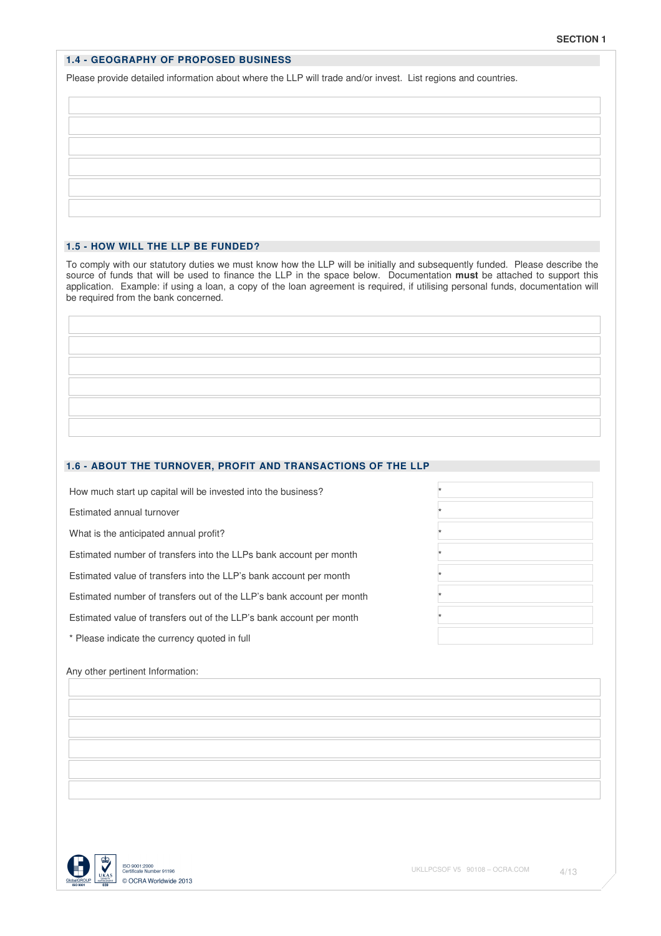# **1.4 - GEOGRAPHY OF PROPOSED BUSINESS**

Please provide detailed information about where the LLP will trade and/or invest. List regions and countries.

# **1.5 - HOW WILL THE LLP BE FUNDED?**

To comply with our statutory duties we must know how the LLP will be initially and subsequently funded. Please describe the source of funds that will be used to finance the LLP in the space below. Documentation **must** be attached to support this application. Example: if using a loan, a copy of the loan agreement is required, if utilising personal funds, documentation will be required from the bank concerned.

# **1.6 - ABOUT THE TURNOVER, PROFIT AND TRANSACTIONS OF THE LLP**

How much start up capital will be invested into the business? \*

Estimated annual turnover \*

What is the anticipated annual profit?

Estimated number of transfers into the LLPs bank account per month \*

Estimated value of transfers into the LLP's bank account per month \*

Estimated number of transfers out of the LLP's bank account per month \*

Estimated value of transfers out of the LLP's bank account per month \*

\* Please indicate the currency quoted in full

### Any other pertinent Information:



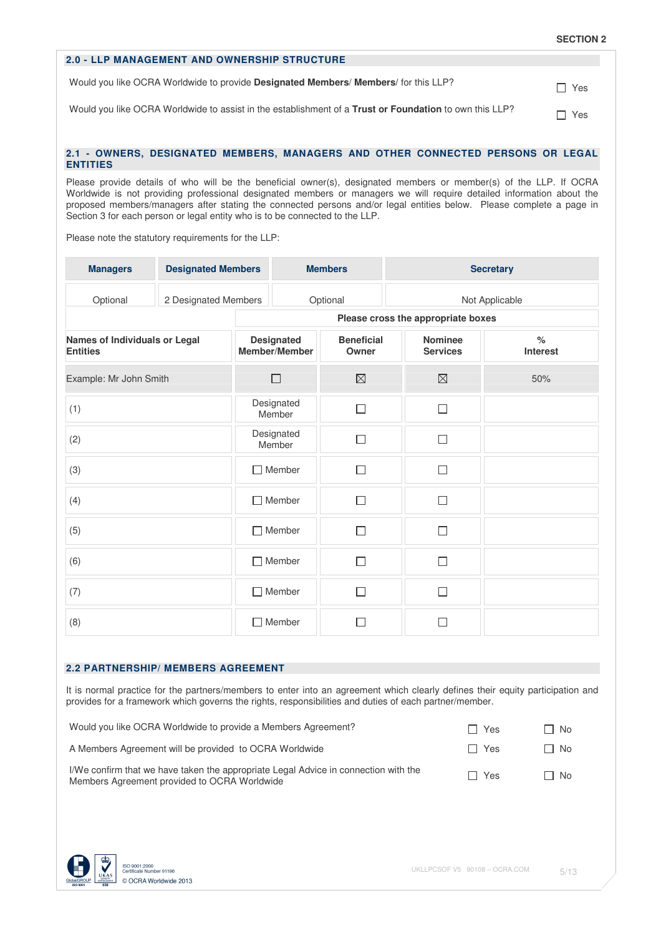# **2.0 - LLP MANAGEMENT AND OWNERSHIP STRUCTURE**

Would you like OCRA Worldwide to provide **Designated Members/ Members/** for this LLP? The Ves

Would you like OCRA Worldwide to assist in the establishment of a **Trust or Foundation** to own this LLP? Yes

# **2.1 - OWNERS, DESIGNATED MEMBERS, MANAGERS AND OTHER CONNECTED PERSONS OR LEGAL ENTITIES**

Please provide details of who will be the beneficial owner(s), designated members or member(s) of the LLP. If OCRA Worldwide is not providing professional designated members or managers we will require detailed information about the proposed members/managers after stating the connected persons and/or legal entities below. Please complete a page in Section 3 for each person or legal entity who is to be connected to the LLP.

Please note the statutory requirements for the LLP:

| <b>Managers</b>                                  | <b>Designated Members</b> | <b>Members</b>                     |                      |                            | <b>Secretary</b>                   |                           |  |
|--------------------------------------------------|---------------------------|------------------------------------|----------------------|----------------------------|------------------------------------|---------------------------|--|
| Optional                                         | 2 Designated Members      | Optional                           |                      |                            | Not Applicable                     |                           |  |
|                                                  |                           |                                    |                      |                            | Please cross the appropriate boxes |                           |  |
| Names of Individuals or Legal<br><b>Entities</b> |                           | <b>Designated</b><br>Member/Member |                      | <b>Beneficial</b><br>Owner | <b>Nominee</b><br><b>Services</b>  | $\frac{1}{6}$<br>Interest |  |
| Example: Mr John Smith                           |                           |                                    | $\Box$               | $\boxtimes$                | $\boxtimes$                        | 50%                       |  |
| (1)                                              |                           |                                    | Designated<br>Member | П                          | $\Box$                             |                           |  |
| (2)                                              |                           |                                    | Designated<br>Member | П                          | $\Box$                             |                           |  |
| (3)                                              |                           |                                    | $\Box$ Member        | П                          | П                                  |                           |  |
| (4)                                              |                           |                                    | $\Box$ Member        | П                          | П                                  |                           |  |
| (5)                                              |                           |                                    | $\Box$ Member        | П                          | П                                  |                           |  |
| (6)                                              |                           | П                                  | Member               | П                          | П                                  |                           |  |
| (7)                                              |                           | П                                  | Member               | □                          | П                                  |                           |  |
| (8)                                              |                           | $\Box$                             | Member               |                            |                                    |                           |  |

#### **2.2 PARTNERSHIP/ MEMBERS AGREEMENT**

It is normal practice for the partners/members to enter into an agreement which clearly defines their equity participation and provides for a framework which governs the rights, responsibilities and duties of each partner/member.

| Would you like OCRA Worldwide to provide a Members Agreement?                                                                       | ∩ Yes      | □ No      |
|-------------------------------------------------------------------------------------------------------------------------------------|------------|-----------|
| A Members Agreement will be provided to OCRA Worldwide                                                                              | $\Box$ Yes | $\Box$ No |
| I/We confirm that we have taken the appropriate Legal Advice in connection with the<br>Members Agreement provided to OCRA Worldwide | $\Box$ Yes | □ No      |

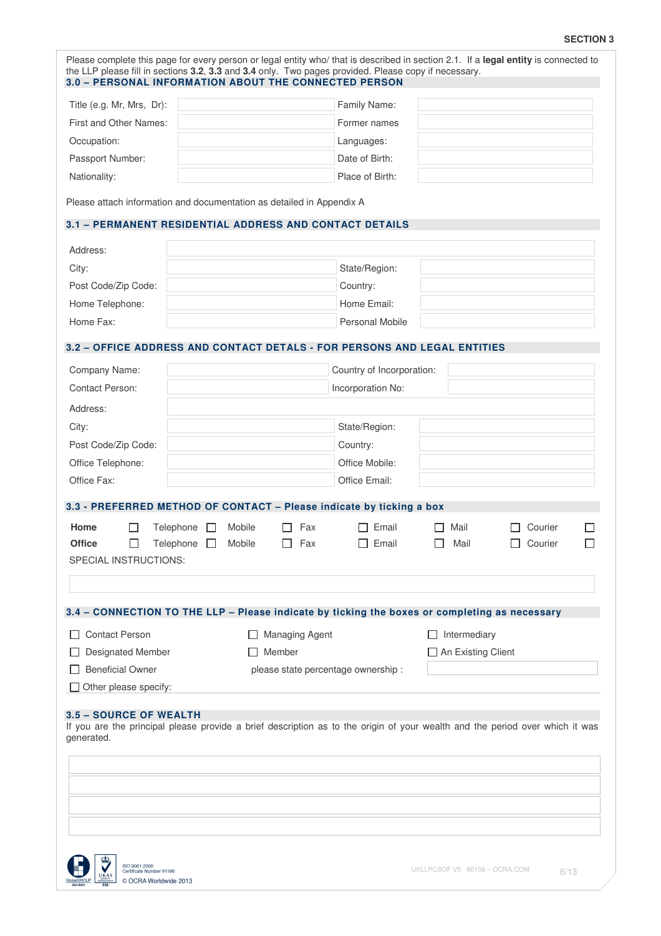# **SECTION 3**

| 3.2 - OFFICE ADDRESS AND CONTACT DETALS - FOR PERSONS AND LEGAL ENTITIES                      |                                      |
|-----------------------------------------------------------------------------------------------|--------------------------------------|
|                                                                                               |                                      |
|                                                                                               |                                      |
|                                                                                               |                                      |
|                                                                                               |                                      |
|                                                                                               |                                      |
|                                                                                               |                                      |
|                                                                                               |                                      |
|                                                                                               |                                      |
|                                                                                               |                                      |
|                                                                                               |                                      |
|                                                                                               |                                      |
|                                                                                               |                                      |
|                                                                                               |                                      |
|                                                                                               |                                      |
|                                                                                               |                                      |
|                                                                                               |                                      |
|                                                                                               |                                      |
|                                                                                               |                                      |
|                                                                                               |                                      |
|                                                                                               |                                      |
|                                                                                               |                                      |
|                                                                                               |                                      |
|                                                                                               |                                      |
| Courier                                                                                       |                                      |
|                                                                                               |                                      |
|                                                                                               |                                      |
|                                                                                               |                                      |
| 3.4 - CONNECTION TO THE LLP - Please indicate by ticking the boxes or completing as necessary |                                      |
| Intermediary                                                                                  |                                      |
|                                                                                               |                                      |
|                                                                                               |                                      |
|                                                                                               |                                      |
|                                                                                               | Courier<br>$\Box$ An Existing Client |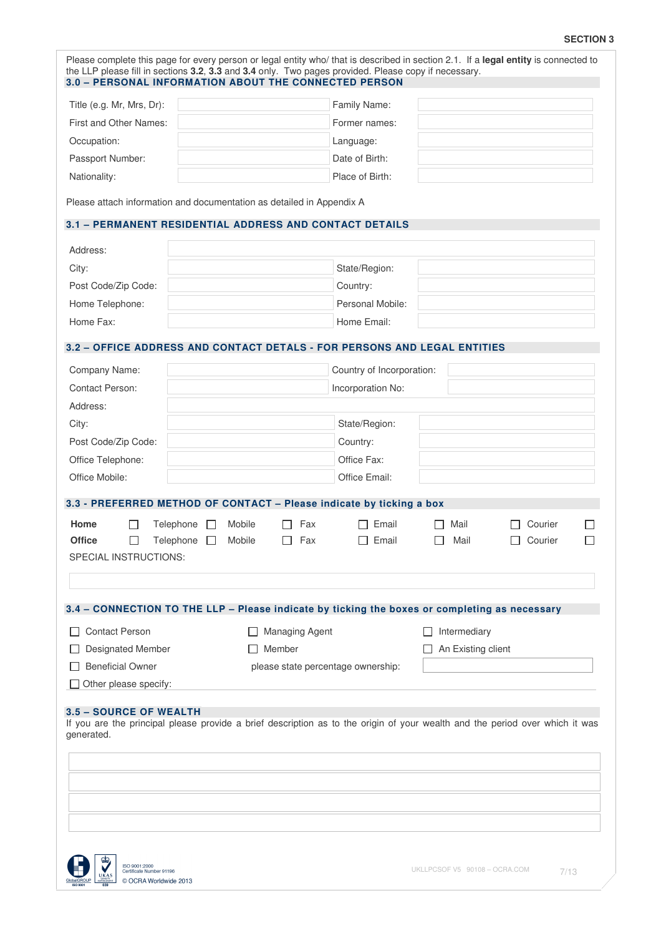# **SECTION 3**

| Title (e.g. Mr, Mrs, Dr):                                                                     |                  |                       | the LLP please fill in sections 3.2, 3.3 and 3.4 only. Two pages provided. Please copy if necessary.<br>3.0 - PERSONAL INFORMATION ABOUT THE CONNECTED PERSON |                    |         |   |
|-----------------------------------------------------------------------------------------------|------------------|-----------------------|---------------------------------------------------------------------------------------------------------------------------------------------------------------|--------------------|---------|---|
|                                                                                               |                  |                       | Family Name:                                                                                                                                                  |                    |         |   |
| First and Other Names:                                                                        |                  |                       | Former names:                                                                                                                                                 |                    |         |   |
| Occupation:                                                                                   |                  |                       | Language:                                                                                                                                                     |                    |         |   |
| Passport Number:                                                                              |                  |                       | Date of Birth:                                                                                                                                                |                    |         |   |
| Nationality:                                                                                  |                  |                       | Place of Birth:                                                                                                                                               |                    |         |   |
| Please attach information and documentation as detailed in Appendix A                         |                  |                       |                                                                                                                                                               |                    |         |   |
| 3.1 - PERMANENT RESIDENTIAL ADDRESS AND CONTACT DETAILS                                       |                  |                       |                                                                                                                                                               |                    |         |   |
| Address:                                                                                      |                  |                       |                                                                                                                                                               |                    |         |   |
| City:                                                                                         |                  |                       | State/Region:                                                                                                                                                 |                    |         |   |
| Post Code/Zip Code:                                                                           |                  |                       | Country:                                                                                                                                                      |                    |         |   |
| Home Telephone:                                                                               |                  |                       | Personal Mobile:                                                                                                                                              |                    |         |   |
| Home Fax:                                                                                     |                  |                       | Home Email:                                                                                                                                                   |                    |         |   |
| 3.2 - OFFICE ADDRESS AND CONTACT DETALS - FOR PERSONS AND LEGAL ENTITIES                      |                  |                       |                                                                                                                                                               |                    |         |   |
| Company Name:                                                                                 |                  |                       | Country of Incorporation:                                                                                                                                     |                    |         |   |
| <b>Contact Person:</b>                                                                        |                  |                       | Incorporation No:                                                                                                                                             |                    |         |   |
| Address:                                                                                      |                  |                       |                                                                                                                                                               |                    |         |   |
| City:                                                                                         |                  |                       | State/Region:                                                                                                                                                 |                    |         |   |
| Post Code/Zip Code:                                                                           |                  |                       | Country:                                                                                                                                                      |                    |         |   |
| Office Telephone:                                                                             |                  |                       | Office Fax:                                                                                                                                                   |                    |         |   |
| Office Mobile:                                                                                |                  |                       | Office Email:                                                                                                                                                 |                    |         |   |
| 3.3 - PREFERRED METHOD OF CONTACT - Please indicate by ticking a box                          |                  |                       |                                                                                                                                                               |                    |         |   |
| Home<br>Telephone                                                                             | Mobile           | Fax                   | Email                                                                                                                                                         | Mail               | Courier |   |
| <b>Office</b><br>П<br>Telephone                                                               | $\Box$<br>Mobile | Fax<br>П              | Email<br>П                                                                                                                                                    | Mail<br>ΙI         | Courier | П |
| SPECIAL INSTRUCTIONS:                                                                         |                  |                       |                                                                                                                                                               |                    |         |   |
|                                                                                               |                  |                       |                                                                                                                                                               |                    |         |   |
| 3.4 - CONNECTION TO THE LLP - Please indicate by ticking the boxes or completing as necessary |                  |                       |                                                                                                                                                               |                    |         |   |
| <b>Contact Person</b>                                                                         |                  | <b>Managing Agent</b> |                                                                                                                                                               | Intermediary       |         |   |
| Designated Member                                                                             |                  | $\Box$ Member         |                                                                                                                                                               | An Existing client |         |   |
| <b>Beneficial Owner</b>                                                                       |                  |                       | please state percentage ownership:                                                                                                                            |                    |         |   |
| Other please specify:                                                                         |                  |                       |                                                                                                                                                               |                    |         |   |

Solution Contract Number 91196<br>
Solution Contract Number 91196<br>
No World Contract Number 91196<br>
COCRA Worldwide 2013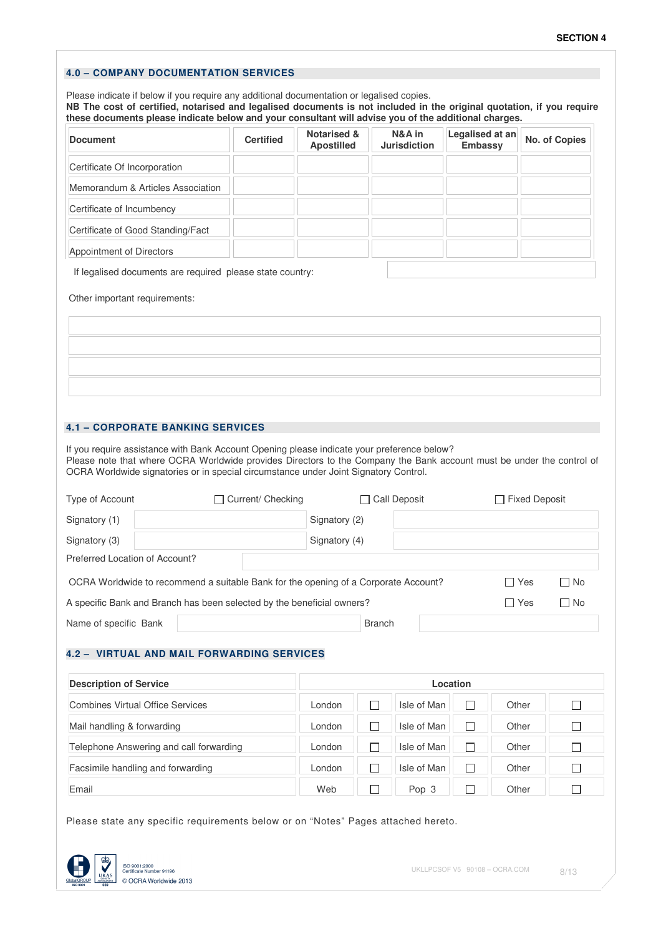# **4.0 – COMPANY DOCUMENTATION SERVICES**

Please indicate if below if you require any additional documentation or legalised copies. **NB The cost of certified, notarised and legalised documents is not included in the original quotation, if you require these documents please indicate below and your consultant will advise you of the additional charges.**

| <b>Document</b>                                           | <b>Certified</b> | <b>Notarised &amp;</b><br><b>Apostilled</b> | N&A in<br><b>Jurisdiction</b> | Legalised at an<br><b>Embassy</b> | No. of Copies |  |  |  |
|-----------------------------------------------------------|------------------|---------------------------------------------|-------------------------------|-----------------------------------|---------------|--|--|--|
| Certificate Of Incorporation                              |                  |                                             |                               |                                   |               |  |  |  |
| Memorandum & Articles Association                         |                  |                                             |                               |                                   |               |  |  |  |
| Certificate of Incumbency                                 |                  |                                             |                               |                                   |               |  |  |  |
| Certificate of Good Standing/Fact                         |                  |                                             |                               |                                   |               |  |  |  |
| Appointment of Directors                                  |                  |                                             |                               |                                   |               |  |  |  |
| If legalised documents are required please state country: |                  |                                             |                               |                                   |               |  |  |  |
| Other important requirements:                             |                  |                                             |                               |                                   |               |  |  |  |

# **4.1 – CORPORATE BANKING SERVICES**

If you require assistance with Bank Account Opening please indicate your preference below? Please note that where OCRA Worldwide provides Directors to the Company the Bank account must be under the control of OCRA Worldwide signatories or in special circumstance under Joint Signatory Control.

| Type of Account                                                                                           | Current/ Checking                                                      | $\Box$ Call Deposit | $\Box$ Fixed Deposit |           |  |  |  |  |
|-----------------------------------------------------------------------------------------------------------|------------------------------------------------------------------------|---------------------|----------------------|-----------|--|--|--|--|
| Signatory (1)                                                                                             |                                                                        | Signatory (2)       |                      |           |  |  |  |  |
| Signatory (3)                                                                                             |                                                                        | Signatory (4)       |                      |           |  |  |  |  |
| Preferred Location of Account?                                                                            |                                                                        |                     |                      |           |  |  |  |  |
| OCRA Worldwide to recommend a suitable Bank for the opening of a Corporate Account?<br>$\Box$ No<br>□ Yes |                                                                        |                     |                      |           |  |  |  |  |
|                                                                                                           | A specific Bank and Branch has been selected by the beneficial owners? |                     | ∩ Yes                | $\Box$ No |  |  |  |  |
| Name of specific Bank                                                                                     |                                                                        | <b>Branch</b>       |                      |           |  |  |  |  |

# **4.2 – VIRTUAL AND MAIL FORWARDING SERVICES**

| <b>Description of Service</b>           |        | Location    |       |  |
|-----------------------------------------|--------|-------------|-------|--|
| Combines Virtual Office Services        | London | Isle of Man | Other |  |
| Mail handling & forwarding              | London | Isle of Man | Other |  |
| Telephone Answering and call forwarding | London | Isle of Man | Other |  |
| Facsimile handling and forwarding       | London | Isle of Man | Other |  |
| Email                                   | Web    | Pop 3       | Other |  |

Please state any specific requirements below or on "Notes" Pages attached hereto.

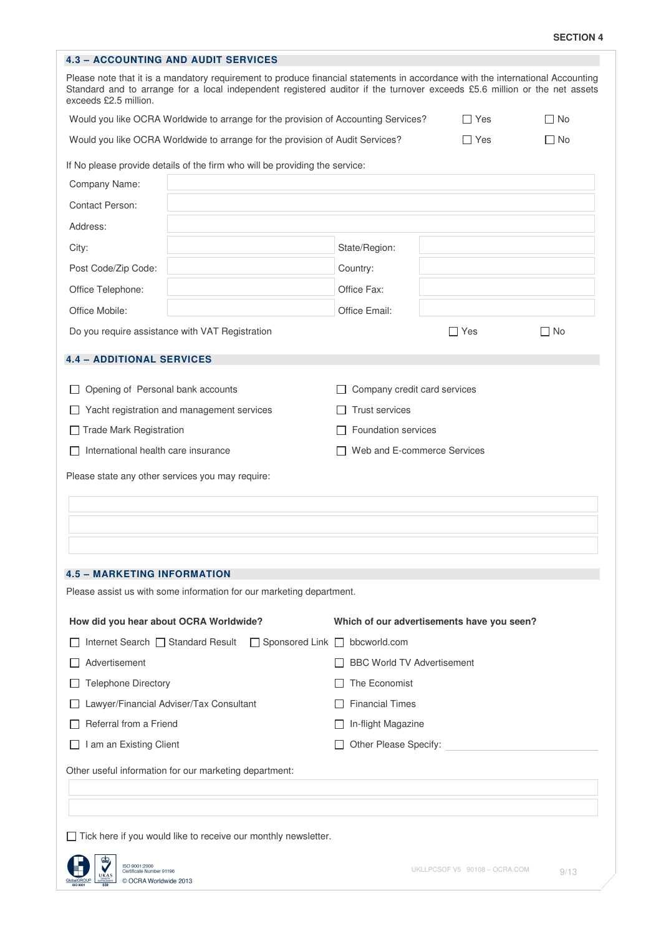| <b>4.3 - ACCOUNTING AND AUDIT SERVICES</b>                                                                                                                                                                                                                                           |                                           |                                            |              |  |  |  |  |
|--------------------------------------------------------------------------------------------------------------------------------------------------------------------------------------------------------------------------------------------------------------------------------------|-------------------------------------------|--------------------------------------------|--------------|--|--|--|--|
| Please note that it is a mandatory requirement to produce financial statements in accordance with the international Accounting<br>Standard and to arrange for a local independent registered auditor if the turnover exceeds £5.6 million or the net assets<br>exceeds £2.5 million. |                                           |                                            |              |  |  |  |  |
| Would you like OCRA Worldwide to arrange for the provision of Accounting Services?                                                                                                                                                                                                   | ∏ Yes                                     | $\Box$ No                                  |              |  |  |  |  |
| Would you like OCRA Worldwide to arrange for the provision of Audit Services?                                                                                                                                                                                                        | $\Box$ Yes                                | $\Box$ No                                  |              |  |  |  |  |
| If No please provide details of the firm who will be providing the service:                                                                                                                                                                                                          |                                           |                                            |              |  |  |  |  |
| Company Name:                                                                                                                                                                                                                                                                        |                                           |                                            |              |  |  |  |  |
| <b>Contact Person:</b>                                                                                                                                                                                                                                                               |                                           |                                            |              |  |  |  |  |
| Address:                                                                                                                                                                                                                                                                             |                                           |                                            |              |  |  |  |  |
| City:                                                                                                                                                                                                                                                                                | State/Region:                             |                                            |              |  |  |  |  |
| Post Code/Zip Code:                                                                                                                                                                                                                                                                  | Country:                                  |                                            |              |  |  |  |  |
| Office Telephone:                                                                                                                                                                                                                                                                    | Office Fax:                               |                                            |              |  |  |  |  |
| Office Mobile:                                                                                                                                                                                                                                                                       | Office Email:                             |                                            |              |  |  |  |  |
| Do you require assistance with VAT Registration                                                                                                                                                                                                                                      |                                           | $\Box$ Yes                                 | $\square$ No |  |  |  |  |
| <b>4.4 - ADDITIONAL SERVICES</b>                                                                                                                                                                                                                                                     |                                           |                                            |              |  |  |  |  |
| Opening of Personal bank accounts                                                                                                                                                                                                                                                    |                                           | Company credit card services               |              |  |  |  |  |
| Yacht registration and management services                                                                                                                                                                                                                                           | <b>Trust services</b>                     |                                            |              |  |  |  |  |
| <b>Trade Mark Registration</b>                                                                                                                                                                                                                                                       |                                           | <b>Foundation services</b>                 |              |  |  |  |  |
| International health care insurance                                                                                                                                                                                                                                                  |                                           | Web and E-commerce Services                |              |  |  |  |  |
| <b>4.5 - MARKETING INFORMATION</b>                                                                                                                                                                                                                                                   |                                           |                                            |              |  |  |  |  |
| Please assist us with some information for our marketing department.                                                                                                                                                                                                                 |                                           |                                            |              |  |  |  |  |
| How did you hear about OCRA Worldwide?                                                                                                                                                                                                                                               |                                           | Which of our advertisements have you seen? |              |  |  |  |  |
| Internet Search □ Standard Result                                                                                                                                                                                                                                                    | $\Box$ Sponsored Link $\Box$ bbcworld.com |                                            |              |  |  |  |  |
| Advertisement                                                                                                                                                                                                                                                                        |                                           | <b>BBC World TV Advertisement</b>          |              |  |  |  |  |
| <b>Telephone Directory</b>                                                                                                                                                                                                                                                           | The Economist                             |                                            |              |  |  |  |  |
| Lawyer/Financial Adviser/Tax Consultant                                                                                                                                                                                                                                              |                                           | <b>Financial Times</b>                     |              |  |  |  |  |
| Referral from a Friend                                                                                                                                                                                                                                                               |                                           | In-flight Magazine                         |              |  |  |  |  |
| I am an Existing Client                                                                                                                                                                                                                                                              | Other Please Specify:                     |                                            |              |  |  |  |  |
| Other useful information for our marketing department:                                                                                                                                                                                                                               |                                           |                                            |              |  |  |  |  |
| $\Box$ Tick here if you would like to receive our monthly newsletter.                                                                                                                                                                                                                |                                           |                                            |              |  |  |  |  |
| ¢Đ,<br>ISO 9001:2000<br>Certificate Number 91196<br>UKAS<br>© OCRA Worldwide 2013                                                                                                                                                                                                    |                                           | UKLLPCSOF V5 90108 - OCRA.COM              | 9/13         |  |  |  |  |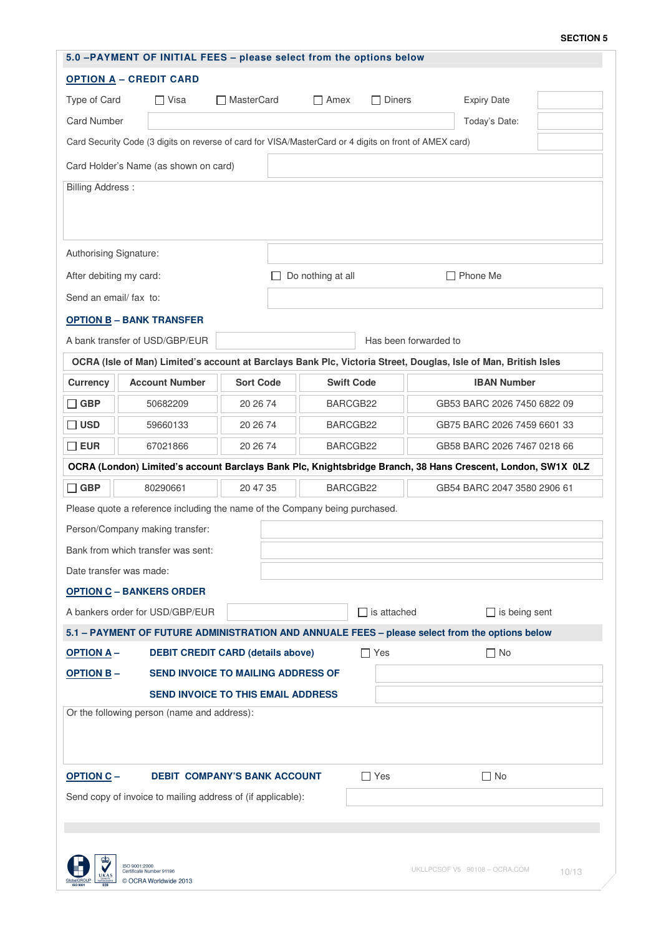### **SECTION 5**

| 5.0 -PAYMENT OF INITIAL FEES - please select from the options below                 |  |                                                                                                        |                  |  |                                      |               |                             |                       |                                                                                                                 |  |
|-------------------------------------------------------------------------------------|--|--------------------------------------------------------------------------------------------------------|------------------|--|--------------------------------------|---------------|-----------------------------|-----------------------|-----------------------------------------------------------------------------------------------------------------|--|
| <b>OPTION A - CREDIT CARD</b>                                                       |  |                                                                                                        |                  |  |                                      |               |                             |                       |                                                                                                                 |  |
| Type of Card                                                                        |  | $\Box$ Visa<br>□ MasterCard                                                                            |                  |  | $\Box$ Amex                          | $\Box$ Diners |                             | <b>Expiry Date</b>    |                                                                                                                 |  |
| <b>Card Number</b>                                                                  |  |                                                                                                        |                  |  |                                      |               |                             |                       | Today's Date:                                                                                                   |  |
|                                                                                     |  | Card Security Code (3 digits on reverse of card for VISA/MasterCard or 4 digits on front of AMEX card) |                  |  |                                      |               |                             |                       |                                                                                                                 |  |
| Card Holder's Name (as shown on card)                                               |  |                                                                                                        |                  |  |                                      |               |                             |                       |                                                                                                                 |  |
| <b>Billing Address:</b>                                                             |  |                                                                                                        |                  |  |                                      |               |                             |                       |                                                                                                                 |  |
| Authorising Signature:                                                              |  |                                                                                                        |                  |  |                                      |               |                             |                       |                                                                                                                 |  |
| After debiting my card:                                                             |  |                                                                                                        |                  |  | $\Box$ Phone Me<br>Do nothing at all |               |                             |                       |                                                                                                                 |  |
| Send an email/ fax to:                                                              |  |                                                                                                        |                  |  |                                      |               |                             |                       |                                                                                                                 |  |
|                                                                                     |  | <b>OPTION B - BANK TRANSFER</b>                                                                        |                  |  |                                      |               |                             |                       |                                                                                                                 |  |
|                                                                                     |  | A bank transfer of USD/GBP/EUR                                                                         |                  |  |                                      |               |                             | Has been forwarded to |                                                                                                                 |  |
|                                                                                     |  |                                                                                                        |                  |  |                                      |               |                             |                       | OCRA (Isle of Man) Limited's account at Barclays Bank Plc, Victoria Street, Douglas, Isle of Man, British Isles |  |
| <b>Currency</b>                                                                     |  | <b>Account Number</b>                                                                                  | <b>Sort Code</b> |  | <b>Swift Code</b>                    |               |                             |                       | <b>IBAN Number</b>                                                                                              |  |
| $\Box$ GBP                                                                          |  | 50682209                                                                                               | 20 26 74         |  | BARCGB22                             |               |                             |                       | GB53 BARC 2026 7450 6822 09                                                                                     |  |
| $\square$ USD                                                                       |  | 59660133                                                                                               | 20 26 74         |  | BARCGB22                             |               | GB75 BARC 2026 7459 6601 33 |                       |                                                                                                                 |  |
| $\square$ EUR                                                                       |  | 67021866                                                                                               | 20 26 74         |  | BARCGB22                             |               | GB58 BARC 2026 7467 0218 66 |                       |                                                                                                                 |  |
|                                                                                     |  |                                                                                                        |                  |  |                                      |               |                             |                       | OCRA (London) Limited's account Barclays Bank Plc, Knightsbridge Branch, 38 Hans Crescent, London, SW1X 0LZ     |  |
| $\Box$ GBP                                                                          |  | 80290661                                                                                               | 20 47 35         |  | BARCGB22                             |               | GB54 BARC 2047 3580 2906 61 |                       |                                                                                                                 |  |
| Please quote a reference including the name of the Company being purchased.         |  |                                                                                                        |                  |  |                                      |               |                             |                       |                                                                                                                 |  |
|                                                                                     |  | Person/Company making transfer:                                                                        |                  |  |                                      |               |                             |                       |                                                                                                                 |  |
|                                                                                     |  | Bank from which transfer was sent:                                                                     |                  |  |                                      |               |                             |                       |                                                                                                                 |  |
| Date transfer was made:                                                             |  |                                                                                                        |                  |  |                                      |               |                             |                       |                                                                                                                 |  |
|                                                                                     |  | <b>OPTION C - BANKERS ORDER</b>                                                                        |                  |  |                                      |               |                             |                       |                                                                                                                 |  |
|                                                                                     |  | A bankers order for USD/GBP/EUR                                                                        |                  |  |                                      |               | $\Box$ is attached          |                       | $\Box$ is being sent                                                                                            |  |
|                                                                                     |  |                                                                                                        |                  |  |                                      |               |                             |                       | 5.1 - PAYMENT OF FUTURE ADMINISTRATION AND ANNUALE FEES - please select from the options below                  |  |
| <b>OPTION A-</b><br><b>DEBIT CREDIT CARD (details above)</b>                        |  |                                                                                                        |                  |  |                                      | $\Box$ Yes    |                             | $\square$ No          |                                                                                                                 |  |
| <b>OPTION B-</b><br><b>SEND INVOICE TO MAILING ADDRESS OF</b>                       |  |                                                                                                        |                  |  |                                      |               |                             |                       |                                                                                                                 |  |
| <b>SEND INVOICE TO THIS EMAIL ADDRESS</b>                                           |  |                                                                                                        |                  |  |                                      |               |                             |                       |                                                                                                                 |  |
| Or the following person (name and address):                                         |  |                                                                                                        |                  |  |                                      |               |                             |                       |                                                                                                                 |  |
| <b>OPTION C-</b><br><b>DEBIT COMPANY'S BANK ACCOUNT</b>                             |  |                                                                                                        |                  |  | $\Box$ Yes                           |               | $\Box$ No                   |                       |                                                                                                                 |  |
| Send copy of invoice to mailing address of (if applicable):                         |  |                                                                                                        |                  |  |                                      |               |                             |                       |                                                                                                                 |  |
| ISO 9001:2000<br>UKLLPCSOF V5 90108 - OCRA.COM<br>Certificate Number 91196<br>10/13 |  |                                                                                                        |                  |  |                                      |               |                             |                       |                                                                                                                 |  |
| © OCRA Worldwide 2013                                                               |  |                                                                                                        |                  |  |                                      |               |                             |                       |                                                                                                                 |  |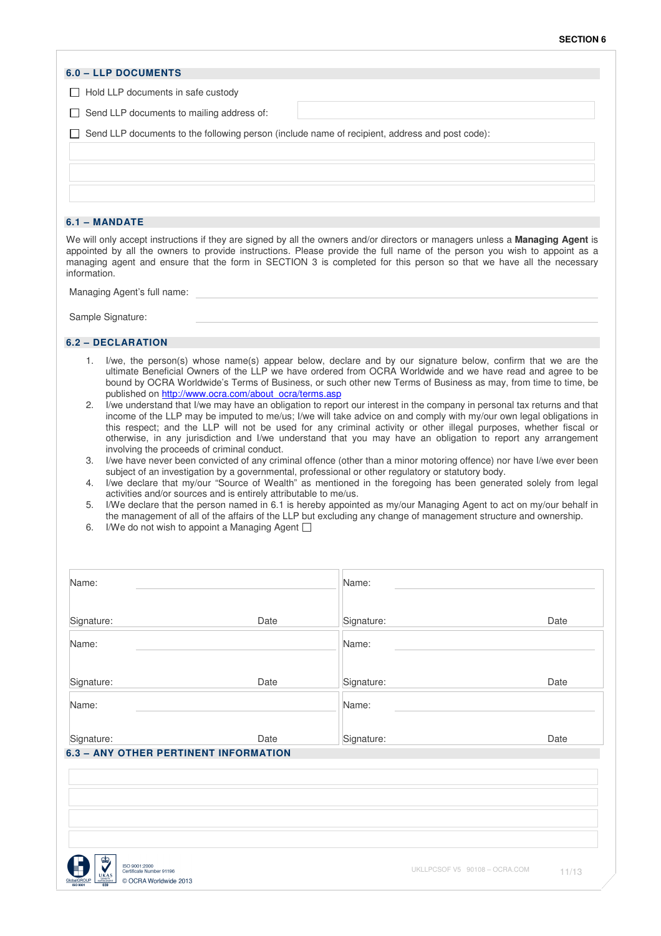|                                           |                                                                                                                                                                                                                                                                                                                                                                                                                                                     |            | <b>SECTION 6</b>                                                                                                                                                                                                                                                                                                                                                                                                                                                                                                                                                                                                                                                                                                                                                                                                                                                                                                                                                     |
|-------------------------------------------|-----------------------------------------------------------------------------------------------------------------------------------------------------------------------------------------------------------------------------------------------------------------------------------------------------------------------------------------------------------------------------------------------------------------------------------------------------|------------|----------------------------------------------------------------------------------------------------------------------------------------------------------------------------------------------------------------------------------------------------------------------------------------------------------------------------------------------------------------------------------------------------------------------------------------------------------------------------------------------------------------------------------------------------------------------------------------------------------------------------------------------------------------------------------------------------------------------------------------------------------------------------------------------------------------------------------------------------------------------------------------------------------------------------------------------------------------------|
| <b>6.0 - LLP DOCUMENTS</b>                |                                                                                                                                                                                                                                                                                                                                                                                                                                                     |            |                                                                                                                                                                                                                                                                                                                                                                                                                                                                                                                                                                                                                                                                                                                                                                                                                                                                                                                                                                      |
| $\Box$ Hold LLP documents in safe custody |                                                                                                                                                                                                                                                                                                                                                                                                                                                     |            |                                                                                                                                                                                                                                                                                                                                                                                                                                                                                                                                                                                                                                                                                                                                                                                                                                                                                                                                                                      |
| Send LLP documents to mailing address of: |                                                                                                                                                                                                                                                                                                                                                                                                                                                     |            |                                                                                                                                                                                                                                                                                                                                                                                                                                                                                                                                                                                                                                                                                                                                                                                                                                                                                                                                                                      |
|                                           | Send LLP documents to the following person (include name of recipient, address and post code):                                                                                                                                                                                                                                                                                                                                                      |            |                                                                                                                                                                                                                                                                                                                                                                                                                                                                                                                                                                                                                                                                                                                                                                                                                                                                                                                                                                      |
|                                           |                                                                                                                                                                                                                                                                                                                                                                                                                                                     |            |                                                                                                                                                                                                                                                                                                                                                                                                                                                                                                                                                                                                                                                                                                                                                                                                                                                                                                                                                                      |
| 6.1 - MANDATE                             |                                                                                                                                                                                                                                                                                                                                                                                                                                                     |            |                                                                                                                                                                                                                                                                                                                                                                                                                                                                                                                                                                                                                                                                                                                                                                                                                                                                                                                                                                      |
| information.                              |                                                                                                                                                                                                                                                                                                                                                                                                                                                     |            | We will only accept instructions if they are signed by all the owners and/or directors or managers unless a Managing Agent is<br>appointed by all the owners to provide instructions. Please provide the full name of the person you wish to appoint as a<br>managing agent and ensure that the form in SECTION 3 is completed for this person so that we have all the necessary                                                                                                                                                                                                                                                                                                                                                                                                                                                                                                                                                                                     |
| Managing Agent's full name:               |                                                                                                                                                                                                                                                                                                                                                                                                                                                     |            |                                                                                                                                                                                                                                                                                                                                                                                                                                                                                                                                                                                                                                                                                                                                                                                                                                                                                                                                                                      |
| Sample Signature:                         |                                                                                                                                                                                                                                                                                                                                                                                                                                                     |            |                                                                                                                                                                                                                                                                                                                                                                                                                                                                                                                                                                                                                                                                                                                                                                                                                                                                                                                                                                      |
| 6.2 - DECLARATION                         |                                                                                                                                                                                                                                                                                                                                                                                                                                                     |            |                                                                                                                                                                                                                                                                                                                                                                                                                                                                                                                                                                                                                                                                                                                                                                                                                                                                                                                                                                      |
| 2.<br>З.<br>4.<br>5.<br>6.                | published on http://www.ocra.com/about_ocra/terms.asp<br>involving the proceeds of criminal conduct.<br>subject of an investigation by a governmental, professional or other regulatory or statutory body.<br>activities and/or sources and is entirely attributable to me/us.<br>the management of all of the affairs of the LLP but excluding any change of management structure and ownership.<br>I/We do not wish to appoint a Managing Agent [ |            | bound by OCRA Worldwide's Terms of Business, or such other new Terms of Business as may, from time to time, be<br>I/we understand that I/we may have an obligation to report our interest in the company in personal tax returns and that<br>income of the LLP may be imputed to me/us; I/we will take advice on and comply with my/our own legal obligations in<br>this respect; and the LLP will not be used for any criminal activity or other illegal purposes, whether fiscal or<br>otherwise, in any jurisdiction and I/we understand that you may have an obligation to report any arrangement<br>I/we have never been convicted of any criminal offence (other than a minor motoring offence) nor have I/we ever been<br>I/we declare that my/our "Source of Wealth" as mentioned in the foregoing has been generated solely from legal<br>I/We declare that the person named in 6.1 is hereby appointed as my/our Managing Agent to act on my/our behalf in |
| Name:                                     |                                                                                                                                                                                                                                                                                                                                                                                                                                                     | Name:      |                                                                                                                                                                                                                                                                                                                                                                                                                                                                                                                                                                                                                                                                                                                                                                                                                                                                                                                                                                      |
| Signature:                                | Date                                                                                                                                                                                                                                                                                                                                                                                                                                                | Signature: | Date                                                                                                                                                                                                                                                                                                                                                                                                                                                                                                                                                                                                                                                                                                                                                                                                                                                                                                                                                                 |
| Name:                                     |                                                                                                                                                                                                                                                                                                                                                                                                                                                     | Name:      |                                                                                                                                                                                                                                                                                                                                                                                                                                                                                                                                                                                                                                                                                                                                                                                                                                                                                                                                                                      |
| Signature:                                | Date                                                                                                                                                                                                                                                                                                                                                                                                                                                | Signature: | Date                                                                                                                                                                                                                                                                                                                                                                                                                                                                                                                                                                                                                                                                                                                                                                                                                                                                                                                                                                 |
| Name:                                     |                                                                                                                                                                                                                                                                                                                                                                                                                                                     | Name:      |                                                                                                                                                                                                                                                                                                                                                                                                                                                                                                                                                                                                                                                                                                                                                                                                                                                                                                                                                                      |
| Signature:                                | Date                                                                                                                                                                                                                                                                                                                                                                                                                                                | Signature: | Date                                                                                                                                                                                                                                                                                                                                                                                                                                                                                                                                                                                                                                                                                                                                                                                                                                                                                                                                                                 |
| 6.3 - ANY OTHER PERTINENT INFORMATION     |                                                                                                                                                                                                                                                                                                                                                                                                                                                     |            |                                                                                                                                                                                                                                                                                                                                                                                                                                                                                                                                                                                                                                                                                                                                                                                                                                                                                                                                                                      |

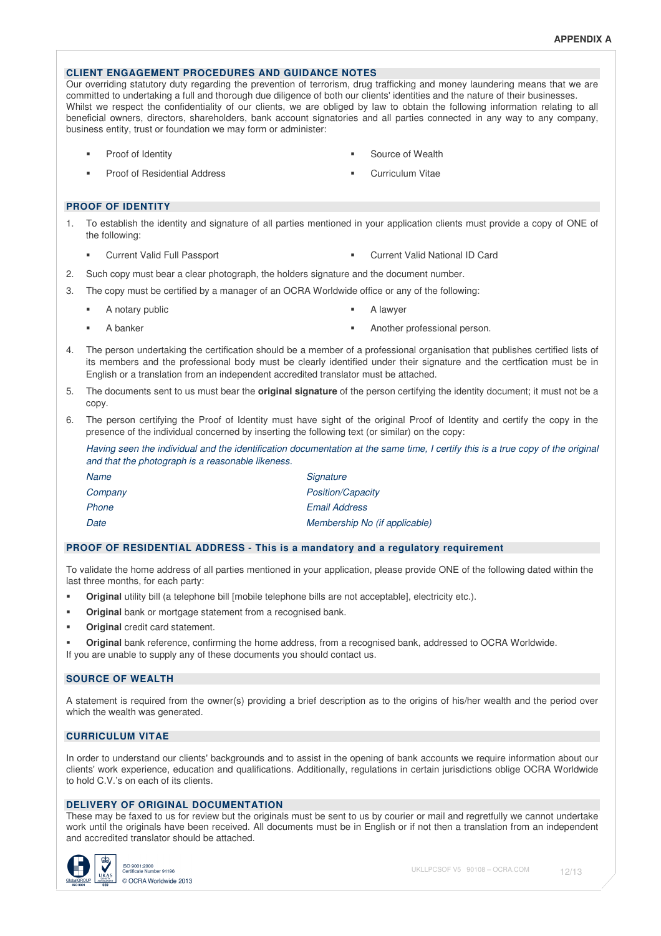# **CLIENT ENGAGEMENT PROCEDURES AND GUIDANCE NOTES**

Our overriding statutory duty regarding the prevention of terrorism, drug trafficking and money laundering means that we are committed to undertaking a full and thorough due diligence of both our clients' identities and the nature of their businesses. Whilst we respect the confidentiality of our clients, we are obliged by law to obtain the following information relating to all beneficial owners, directors, shareholders, bank account signatories and all parties connected in any way to any company, business entity, trust or foundation we may form or administer:

- 
- Proof of Residential Address **Curriculum Vitae**
- Proof of Identity **Source of Wealth** Source of Wealth
	-

#### **PROOF OF IDENTITY**

- 1. To establish the identity and signature of all parties mentioned in your application clients must provide a copy of ONE of the following:
	-
- Current Valid Full Passport Current Valid National ID Card
- 2. Such copy must bear a clear photograph, the holders signature and the document number.
- 3. The copy must be certified by a manager of an OCRA Worldwide office or any of the following:
	- A notary public **A** lawyer
		-
- 
- A banker **Another professional person.** A banker **Another professional person.**
- 4. The person undertaking the certification should be a member of a professional organisation that publishes certified lists of its members and the professional body must be clearly identified under their signature and the certfication must be in English or a translation from an independent accredited translator must be attached.
- 5. The documents sent to us must bear the **original signature** of the person certifying the identity document; it must not be a copy.
- 6. The person certifying the Proof of Identity must have sight of the original Proof of Identity and certify the copy in the presence of the individual concerned by inserting the following text (or similar) on the copy:

Having seen the individual and the identification documentation at the same time, I certify this is a true copy of the original and that the photograph is a reasonable likeness.

| Name    | Signature                     |
|---------|-------------------------------|
| Company | <b>Position/Capacity</b>      |
| Phone   | <b>Email Address</b>          |
| Date    | Membership No (if applicable) |

#### **PROOF OF RESIDENTIAL ADDRESS - This is a mandatory and a regulatory requirement**

To validate the home address of all parties mentioned in your application, please provide ONE of the following dated within the last three months, for each party:

- **Criginal utility bill (a telephone bill [mobile telephone bills are not acceptable], electricity etc.).**
- **Original bank or mortgage statement from a recognised bank.**
- **Original** credit card statement.

 **Original** bank reference, confirming the home address, from a recognised bank, addressed to OCRA Worldwide. If you are unable to supply any of these documents you should contact us.

# **SOURCE OF WEALTH**

A statement is required from the owner(s) providing a brief description as to the origins of his/her wealth and the period over which the wealth was generated.

# **CURRICULUM VITAE**

In order to understand our clients' backgrounds and to assist in the opening of bank accounts we require information about our clients' work experience, education and qualifications. Additionally, regulations in certain jurisdictions oblige OCRA Worldwide to hold C.V.'s on each of its clients.

#### **DELIVERY OF ORIGINAL DOCUMENTATION**

These may be faxed to us for review but the originals must be sent to us by courier or mail and regretfully we cannot undertake work until the originals have been received. All documents must be in English or if not then a translation from an independent and accredited translator should be attached.